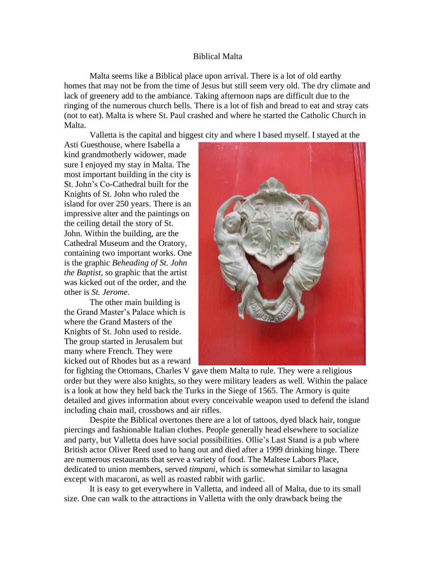## Biblical Malta

Malta seems like a Biblical place upon arrival. There is a lot of old earthy homes that may not be from the time of Jesus but still seem very old. The dry climate and lack of greenery add to the ambiance. Taking afternoon naps are difficult due to the ringing of the numerous church bells. There is a lot of fish and bread to eat and stray cats (not to eat). Malta is where St. Paul crashed and where he started the Catholic Church in Malta.

Valletta is the capital and biggest city and where I based myself. I stayed at the

Asti Guesthouse, where Isabella a kind grandmotherly widower, made sure I enjoyed my stay in Malta. The most important building in the city is St. John's Co-Cathedral built for the Knights of St. John who ruled the island for over 250 years. There is an impressive alter and the paintings on the ceiling detail the story of St. John. Within the building, are the Cathedral Museum and the Oratory, containing two important works. One is the graphic *Beheading of St. John the Baptist,* so graphic that the artist was kicked out of the order, and the other is *St. Jerome*.

The other main building is the Grand Master's Palace which is where the Grand Masters of the Knights of St. John used to reside. The group started in Jerusalem but many where French. They were kicked out of Rhodes but as a reward



for fighting the Ottomans, Charles V gave them Malta to rule. They were a religious order but they were also knights, so they were military leaders as well. Within the palace is a look at how they held back the Turks in the Siege of 1565. The Armory is quite detailed and gives information about every conceivable weapon used to defend the island including chain mail, crossbows and air rifles.

Despite the Biblical overtones there are a lot of tattoos, dyed black hair, tongue piercings and fashionable Italian clothes. People generally head elsewhere to socialize and party, but Valletta does have social possibilities. Ollie's Last Stand is a pub where British actor Oliver Reed used to hang out and died after a 1999 drinking binge. There are numerous restaurants that serve a variety of food. The Maltese Labors Place, dedicated to union members, served *timpani*, which is somewhat similar to lasagna except with macaroni, as well as roasted rabbit with garlic.

It is easy to get everywhere in Valletta, and indeed all of Malta, due to its small size. One can walk to the attractions in Valletta with the only drawback being the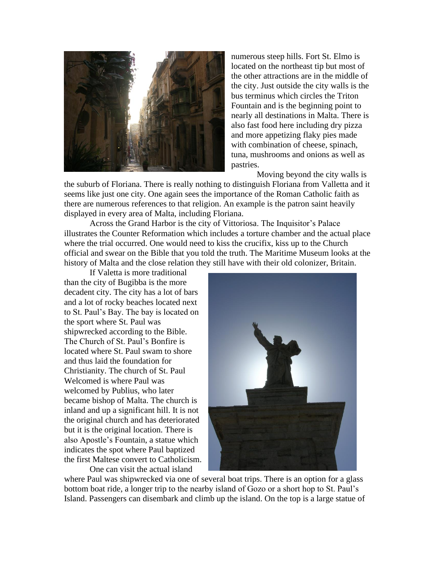

numerous steep hills. Fort St. Elmo is located on the northeast tip but most of the other attractions are in the middle of the city. Just outside the city walls is the bus terminus which circles the Triton Fountain and is the beginning point to nearly all destinations in Malta. There is also fast food here including dry pizza and more appetizing flaky pies made with combination of cheese, spinach, tuna, mushrooms and onions as well as pastries.

Moving beyond the city walls is

the suburb of Floriana. There is really nothing to distinguish Floriana from Valletta and it seems like just one city. One again sees the importance of the Roman Catholic faith as there are numerous references to that religion. An example is the patron saint heavily displayed in every area of Malta, including Floriana.

Across the Grand Harbor is the city of Vittoriosa. The Inquisitor's Palace illustrates the Counter Reformation which includes a torture chamber and the actual place where the trial occurred. One would need to kiss the crucifix, kiss up to the Church official and swear on the Bible that you told the truth. The Maritime Museum looks at the history of Malta and the close relation they still have with their old colonizer, Britain.

If Valetta is more traditional than the city of Bugibba is the more decadent city. The city has a lot of bars and a lot of rocky beaches located next to St. Paul's Bay. The bay is located on the sport where St. Paul was shipwrecked according to the Bible. The Church of St. Paul's Bonfire is located where St. Paul swam to shore and thus laid the foundation for Christianity. The church of St. Paul Welcomed is where Paul was welcomed by Publius, who later became bishop of Malta. The church is inland and up a significant hill. It is not the original church and has deteriorated but it is the original location. There is also Apostle's Fountain, a statue which indicates the spot where Paul baptized the first Maltese convert to Catholicism.

One can visit the actual island



where Paul was shipwrecked via one of several boat trips. There is an option for a glass bottom boat ride, a longer trip to the nearby island of Gozo or a short hop to St. Paul's Island. Passengers can disembark and climb up the island. On the top is a large statue of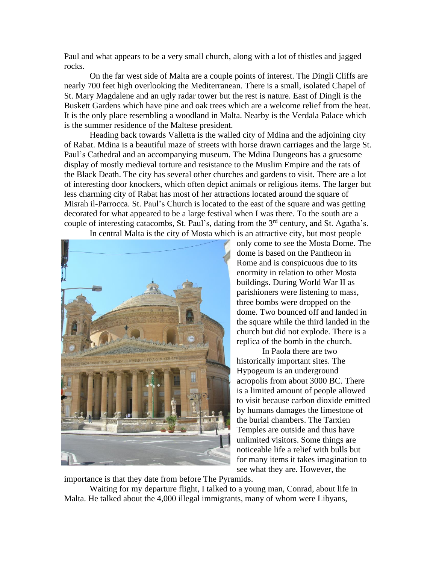Paul and what appears to be a very small church, along with a lot of thistles and jagged rocks.

On the far west side of Malta are a couple points of interest. The Dingli Cliffs are nearly 700 feet high overlooking the Mediterranean. There is a small, isolated Chapel of St. Mary Magdalene and an ugly radar tower but the rest is nature. East of Dingli is the Buskett Gardens which have pine and oak trees which are a welcome relief from the heat. It is the only place resembling a woodland in Malta. Nearby is the Verdala Palace which is the summer residence of the Maltese president.

Heading back towards Valletta is the walled city of Mdina and the adjoining city of Rabat. Mdina is a beautiful maze of streets with horse drawn carriages and the large St. Paul's Cathedral and an accompanying museum. The Mdina Dungeons has a gruesome display of mostly medieval torture and resistance to the Muslim Empire and the rats of the Black Death. The city has several other churches and gardens to visit. There are a lot of interesting door knockers, which often depict animals or religious items. The larger but less charming city of Rabat has most of her attractions located around the square of Misrah il-Parrocca. St. Paul's Church is located to the east of the square and was getting decorated for what appeared to be a large festival when I was there. To the south are a couple of interesting catacombs, St. Paul's, dating from the  $3<sup>rd</sup>$  century, and St. Agatha's. In central Malta is the city of Mosta which is an attractive city, but most people



only come to see the Mosta Dome. The dome is based on the Pantheon in Rome and is conspicuous due to its enormity in relation to other Mosta buildings. During World War II as parishioners were listening to mass, three bombs were dropped on the dome. Two bounced off and landed in the square while the third landed in the church but did not explode. There is a replica of the bomb in the church.

In Paola there are two historically important sites. The Hypogeum is an underground acropolis from about 3000 BC. There is a limited amount of people allowed to visit because carbon dioxide emitted by humans damages the limestone of the burial chambers. The Tarxien Temples are outside and thus have unlimited visitors. Some things are noticeable life a relief with bulls but for many items it takes imagination to see what they are. However, the

importance is that they date from before The Pyramids.

Waiting for my departure flight, I talked to a young man, Conrad, about life in Malta. He talked about the 4,000 illegal immigrants, many of whom were Libyans,